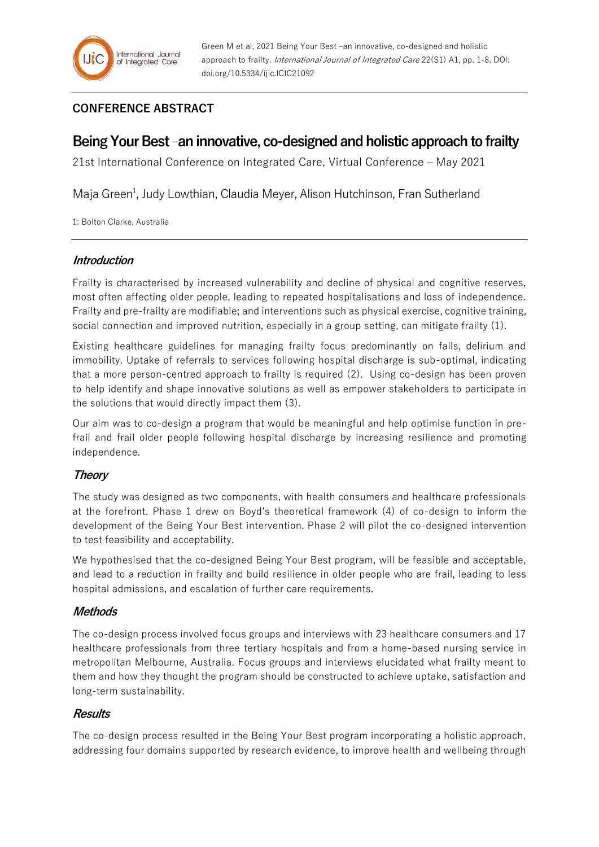# **CONFERENCE ABSTRACT**

# **Being Your Best –an innovative, co-designed and holistic approach to frailty**

21st International Conference on Integrated Care, Virtual Conference – May 2021

Maja Green<sup>1</sup>, Judy Lowthian, Claudia Meyer, Alison Hutchinson, Fran Sutherland

1: Bolton Clarke, Australia

#### **Introduction**

Frailty is characterised by increased vulnerability and decline of physical and cognitive reserves, most often affecting older people, leading to repeated hospitalisations and loss of independence. Frailty and pre-frailty are modifiable; and interventions such as physical exercise, cognitive training, social connection and improved nutrition, especially in a group setting, can mitigate frailty (1).

Existing healthcare guidelines for managing frailty focus predominantly on falls, delirium and immobility. Uptake of referrals to services following hospital discharge is sub-optimal, indicating that a more person-centred approach to frailty is required (2). Using co-design has been proven to help identify and shape innovative solutions as well as empower stakeholders to participate in the solutions that would directly impact them (3).

Our aim was to co-design a program that would be meaningful and help optimise function in prefrail and frail older people following hospital discharge by increasing resilience and promoting independence.

## **Theory**

The study was designed as two components, with health consumers and healthcare professionals at the forefront. Phase 1 drew on Boyd's theoretical framework (4) of co-design to inform the development of the Being Your Best intervention. Phase 2 will pilot the co-designed intervention to test feasibility and acceptability.

We hypothesised that the co-designed Being Your Best program, will be feasible and acceptable, and lead to a reduction in frailty and build resilience in older people who are frail, leading to less hospital admissions, and escalation of further care requirements.

### **Methods**

The co-design process involved focus groups and interviews with 23 healthcare consumers and 17 healthcare professionals from three tertiary hospitals and from a home-based nursing service in metropolitan Melbourne, Australia. Focus groups and interviews elucidated what frailty meant to them and how they thought the program should be constructed to achieve uptake, satisfaction and long-term sustainability.

### **Results**

The co-design process resulted in the Being Your Best program incorporating a holistic approach, addressing four domains supported by research evidence, to improve health and wellbeing through